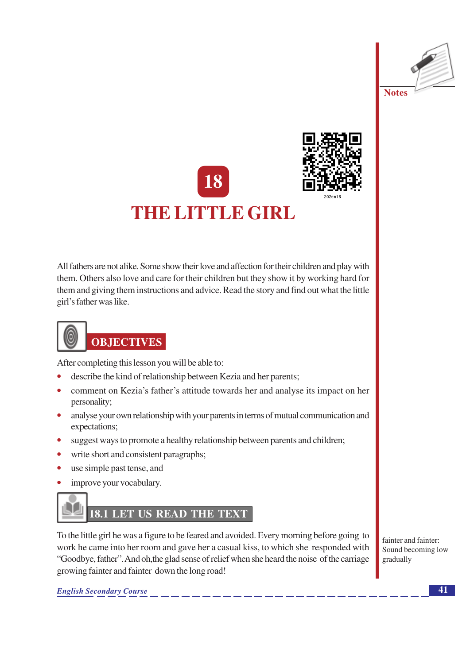





All fathers are not alike. Some show their love and affection for their children and play with them. Others also love and care for their children but they show it by working hard for them and giving them instructions and advice. Read the story and find out what the little girl's father was like.

# **OBJECTIVES**

After completing this lesson you will be able to:

- describe the kind of relationship between Kezia and her parents;
- comment on Kezia's father's attitude towards her and analyse its impact on her personality;
- analyse your own relationship with your parents in terms of mutual communication and expectations;
- suggest ways to promote a healthy relationship between parents and children;
- write short and consistent paragraphs:
- use simple past tense, and  $\bullet$
- improve your vocabulary.

### LET US READ THE TEXT 18.1

To the little girl he was a figure to be feared and avoided. Every morning before going to work he came into her room and gave her a casual kiss, to which she responded with "Goodbye, father". And oh, the glad sense of relief when she heard the noise of the carriage growing fainter and fainter down the long road!

fainter and fainter: Sound becoming low gradually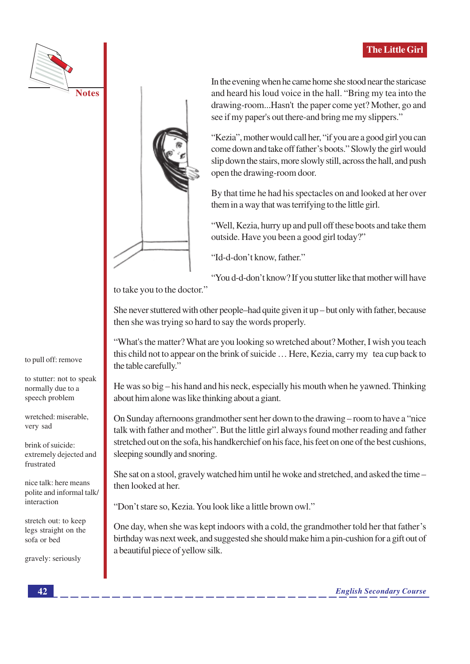



In the evening when he came home she stood near the staricase and heard his loud voice in the hall. "Bring my tea into the drawing-room...Hasn't the paper come yet? Mother, go and see if my paper's out there-and bring me my slippers."

"Kezia", mother would call her, "if you are a good girl you can come down and take off father's boots." Slowly the girl would slip down the stairs, more slowly still, across the hall, and push open the drawing-room door.

By that time he had his spectacles on and looked at her over them in a way that was terrifying to the little girl.

"Well, Kezia, hurry up and pull off these boots and take them outside. Have you been a good girl today?"

"Id-d-don't know, father."

"You d-d-don't know? If you stutter like that mother will have

to take you to the doctor."

She never stuttered with other people–had quite given it up – but only with father, because then she was trying so hard to say the words properly.

"What's the matter? What are you looking so wretched about? Mother, I wish you teach this child not to appear on the brink of suicide ... Here, Kezia, carry my tea cup back to the table carefully."

He was so big – his hand and his neck, especially his mouth when he yawned. Thinking about him alone was like thinking about a giant.

On Sunday afternoons grandmother sent her down to the drawing – room to have a "nice" talk with father and mother". But the little girl always found mother reading and father stretched out on the sofa, his handkerchief on his face, his feet on one of the best cushions, sleeping soundly and snoring.

She sat on a stool, gravely watched him until he woke and stretched, and asked the time – then looked at her.

"Don't stare so, Kezia. You look like a little brown owl."

One day, when she was kept indoors with a cold, the grandmother told her that father's birthday was next week, and suggested she should make him a pin-cushion for a gift out of a beautiful piece of yellow silk.

to pull off: remove

to stutter: not to speak normally due to a speech problem

wretched: miserable, very sad

brink of suicide: extremely dejected and frustrated

nice talk: here means polite and informal talk/ interaction

stretch out: to keep legs straight on the sofa or bed

gravely: seriously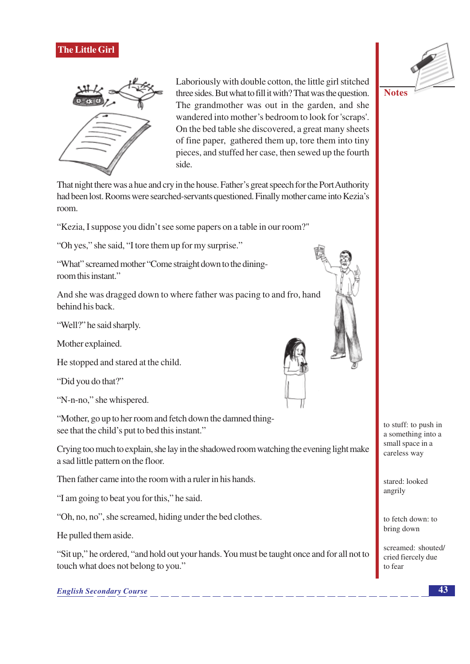

Laboriously with double cotton, the little girl stitched three sides. But what to fill it with? That was the question. The grandmother was out in the garden, and she wandered into mother's bedroom to look for 'scraps'. On the bed table she discovered, a great many sheets of fine paper, gathered them up, tore them into tiny pieces, and stuffed her case, then sewed up the fourth side.

That night there was a hue and cry in the house. Father's great speech for the Port Authority had been lost. Rooms were searched-servants questioned. Finally mother came into Kezia's room.

"Kezia, I suppose you didn't see some papers on a table in our room?"

"Oh yes," she said, "I tore them up for my surprise."

"What" screamed mother "Come straight down to the diningroom this instant."

And she was dragged down to where father was pacing to and fro, hand behind his back.

"Well?" he said sharply.

Mother explained.

He stopped and stared at the child.

"Did you do that?"

"N-n-no," she whispered.

"Mother, go up to her room and fetch down the damned thingsee that the child's put to bed this instant."

Crying too much to explain, she lay in the shadowed room watching the evening light make a sad little pattern on the floor.

Then father came into the room with a ruler in his hands.

"I am going to beat you for this," he said.

"Oh, no, no", she screamed, hiding under the bed clothes.

He pulled them aside.

"Sit up," he ordered, "and hold out your hands. You must be taught once and for all not to touch what does not belong to you."

**English Secondary Course** 





stared: looked angrily

to fetch down: to bring down

screamed: shouted/ cried fiercely due to fear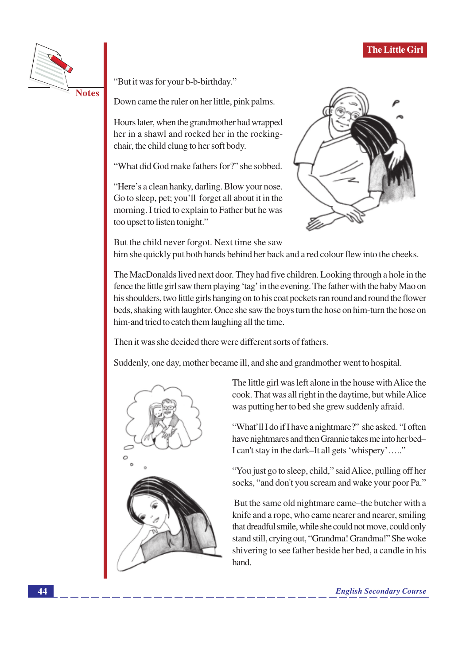

"But it was for your b-b-birthday."

Down came the ruler on her little, pink palms.

Hours later, when the grandmother had wrapped her in a shawl and rocked her in the rockingchair, the child clung to her soft body.

"What did God make fathers for?" she sobbed.

"Here's a clean hanky, darling. Blow your nose. Go to sleep, pet; you'll forget all about it in the morning. I tried to explain to Father but he was too upset to listen tonight."



But the child never forgot. Next time she saw him she quickly put both hands behind her back and a red colour flew into the cheeks.

The MacDonalds lived next door. They had five children. Looking through a hole in the fence the little girl saw them playing 'tag' in the evening. The father with the baby Mao on his shoulders, two little girls hanging on to his coat pockets ran round and round the flower beds, shaking with laughter. Once she saw the boys turn the hose on him-turn the hose on him-and tried to catch them laughing all the time.

Then it was she decided there were different sorts of fathers.

Suddenly, one day, mother became ill, and she and grandmother went to hospital.



The little girl was left alone in the house with Alice the cook. That was all right in the daytime, but while Alice was putting her to bed she grew suddenly afraid.

"What'll I do if I have a nightmare?" she asked. "I often have nightmares and then Grannie takes me into her bed-I can't stay in the dark–It all gets 'whispery'....."

"You just go to sleep, child," said Alice, pulling off her socks, "and don't you scream and wake your poor Pa."

But the same old nightmare came–the butcher with a knife and a rope, who came nearer and nearer, smiling that dreadful smile, while she could not move, could only stand still, crying out, "Grandma! Grandma!" She woke shivering to see father beside her bed, a candle in his hand.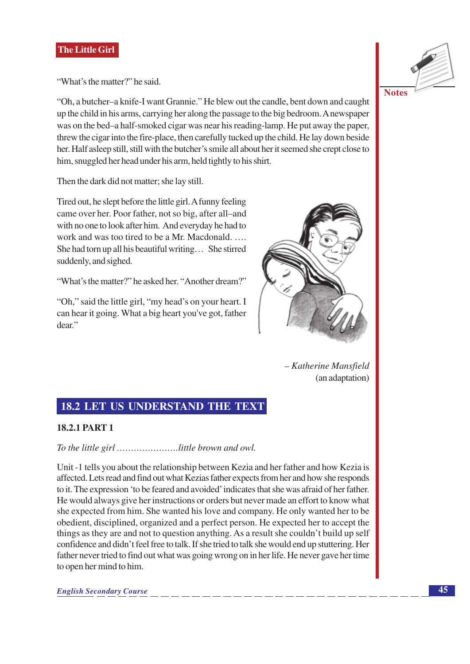"What's the matter?" he said.

"Oh, a butcher-a knife-I want Grannie." He blew out the candle, bent down and caught up the child in his arms, carrying her along the passage to the big bedroom. A newspaper was on the bed–a half-smoked cigar was near his reading-lamp. He put away the paper, threw the cigar into the fire-place, then carefully tucked up the child. He lay down beside her. Half asleep still, still with the butcher's smile all about her it seemed she crept close to him, snuggled her head under his arm, held tightly to his shirt.

Then the dark did not matter; she lay still.

Tired out, he slept before the little girl. A funny feeling came over her. Poor father, not so big, after all-and with no one to look after him. And everyday he had to work and was too tired to be a Mr. Macdonald. .... She had torn up all his beautiful writing... She stirred suddenly, and sighed.

"What's the matter?" he asked her. "Another dream?"

"Oh," said the little girl, "my head's on your heart. I can hear it going. What a big heart you've got, father dear."



- Katherine Mansfield (an adaptation)

#### **18.2 LET US UNDERSTAND THE TEXT**

#### **18.2.1 PART 1**

Unit -1 tells you about the relationship between Kezia and her father and how Kezia is affected. Lets read and find out what Kezias father expects from her and how she responds to it. The expression 'to be feared and avoided' indicates that she was afraid of her father. He would always give her instructions or orders but never made an effort to know what she expected from him. She wanted his love and company. He only wanted her to be obedient, disciplined, organized and a perfect person. He expected her to accept the things as they are and not to question anything. As a result she couldn't build up self confidence and didn't feel free to talk. If she tried to talk she would end up stuttering. Her father never tried to find out what was going wrong on in her life. He never gave her time to open her mind to him.

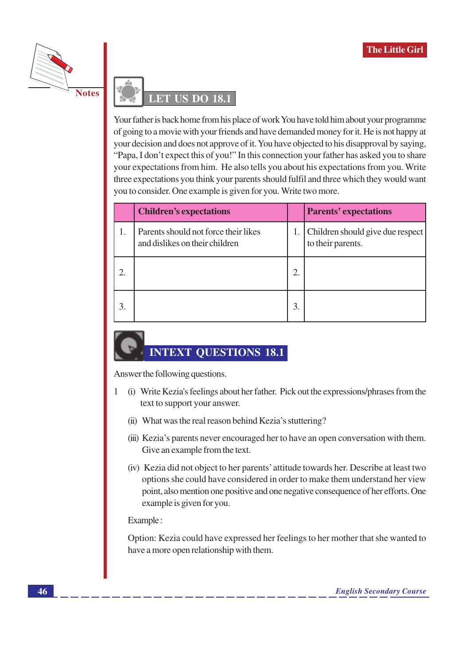



Your father is back home from his place of work You have told him about your programme of going to a movie with your friends and have demanded money for it. He is not happy at your decision and does not approve of it. You have objected to his disapproval by saying, "Papa, I don't expect this of you!" In this connection your father has asked you to share your expectations from him. He also tells you about his expectations from you. Write three expectations you think your parents should fulfil and three which they would want you to consider. One example is given for you. Write two more.

|    | <b>Children's expectations</b>                                         |    | <b>Parents' expectations</b>                          |
|----|------------------------------------------------------------------------|----|-------------------------------------------------------|
|    | Parents should not force their likes<br>and dislikes on their children | 1. | Children should give due respect<br>to their parents. |
|    |                                                                        | 2. |                                                       |
| 3. |                                                                        | 3. |                                                       |

### **INTEXT QUESTIONS 18.1**

Answer the following questions.

- $\mathbf{1}$ (i) Write Kezia's feelings about her father. Pick out the expressions/phrases from the text to support your answer.
	- (ii) What was the real reason behind Kezia's stuttering?
	- (iii) Kezia's parents never encouraged her to have an open conversation with them. Give an example from the text.
	- (iv) Kezia did not object to her parents' attitude towards her. Describe at least two options she could have considered in order to make them understand her view point, also mention one positive and one negative consequence of her efforts. One example is given for you.

Example:

Option: Kezia could have expressed her feelings to her mother that she wanted to have a more open relationship with them.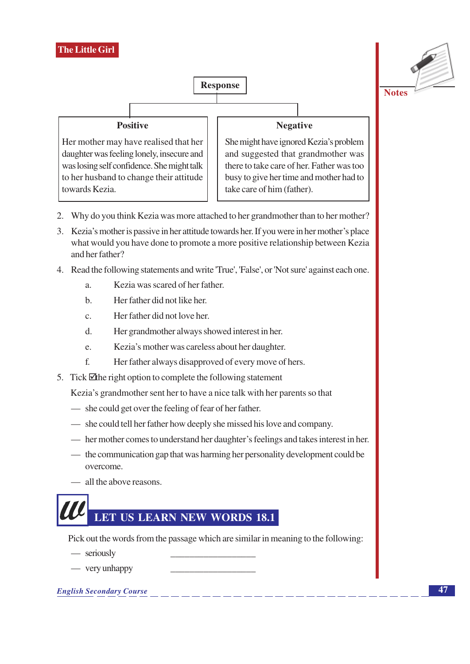

- 2. Why do you think Kezia was more attached to her grandmother than to her mother?
- 3. Kezia's mother is passive in her attitude towards her. If you were in her mother's place what would you have done to promote a more positive relationship between Kezia and her father?
- 4. Read the following statements and write 'True', 'False', or 'Not sure' against each one.
	- Kezia was scared of her father. a.
	- Her father did not like her  $h$
	- Her father did not love her.  $\mathbf{c}$ .
	- $d_{\cdot}$ Her grandmother always showed interest in her.
	- Kezia's mother was careless about her daughter. e.
	- $f_{1}$ Her father always disapproved of every move of hers.
- 5. Tick Ithe right option to complete the following statement

Kezia's grandmother sent her to have a nice talk with her parents so that

- she could get over the feeling of fear of her father.
- she could tell her father how deeply she missed his love and company.
- her mother comes to understand her daughter's feelings and takes interest in her.
- the communication gap that was harming her personality development could be overcome.
- all the above reasons.

# LET US LEARN NEW WORDS 18.1

Pick out the words from the passage which are similar in meaning to the following:

- seriously
- $-$  very unhappy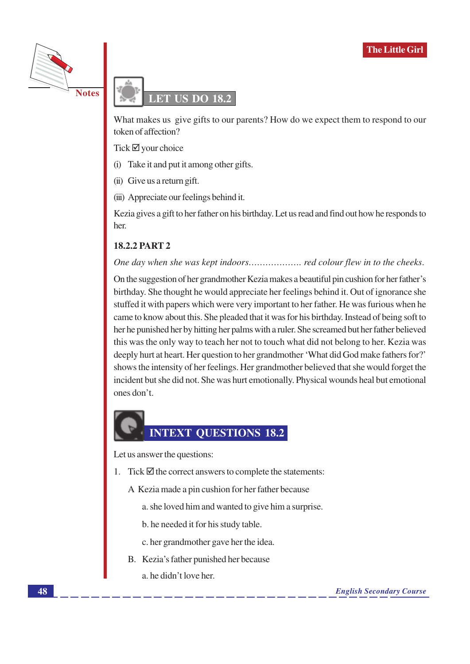



What makes us give gifts to our parents? How do we expect them to respond to our token of affection?

Tick  $\boxtimes$  your choice

- (i) Take it and put it among other gifts.
- (ii) Give us a return gift.
- (iii) Appreciate our feelings behind it.

Kezia gives a gift to her father on his birthday. Let us read and find out how he responds to her.

#### **18.2.2 PART 2**

#### 

On the suggestion of her grandmother Kezia makes a beautiful pin cushion for her father's birthday. She thought he would appreciate her feelings behind it. Out of ignorance she stuffed it with papers which were very important to her father. He was furious when he came to know about this. She pleaded that it was for his birthday. Instead of being soft to her he punished her by hitting her palms with a ruler. She screamed but her father believed this was the only way to teach her not to touch what did not belong to her. Kezia was deeply hurt at heart. Her question to her grandmother 'What did God make fathers for?' shows the intensity of her feelings. Her grandmother believed that she would forget the incident but she did not. She was hurt emotionally. Physical wounds heal but emotional ones don't.

# **INTEXT QUESTIONS 18.2**

Let us answer the questions:

- 1. Tick  $\overline{\mathcal{Q}}$  the correct answers to complete the statements:
	- A Kezia made a pin cushion for her father because
		- a, she loved him and wanted to give him a surprise.
		- b. he needed it for his study table.
		- c. her grandmother gave her the idea.
	- B. Kezia's father punished her because a he didn't love her.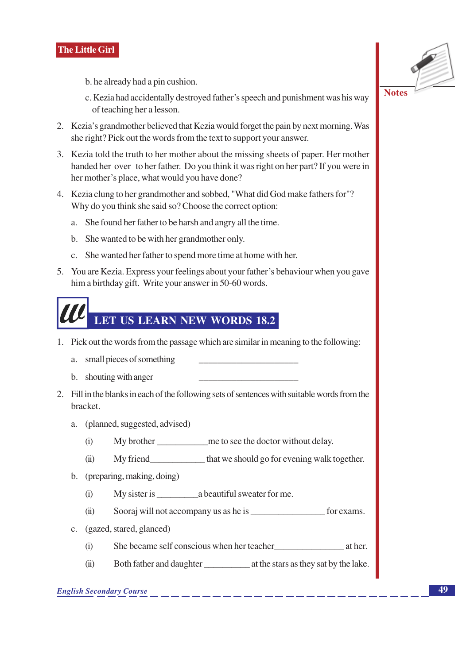b. he already had a pin cushion.

- c. Kezia had accidentally destroyed father's speech and punishment was his way of teaching her a lesson.
- 2. Kezia's grandmother believed that Kezia would forget the pain by next morning. Was she right? Pick out the words from the text to support your answer.
- 3. Kezia told the truth to her mother about the missing sheets of paper. Her mother handed her over to her father. Do you think it was right on her part? If you were in her mother's place, what would you have done?
- 4. Kezia clung to her grandmother and sobbed, "What did God make fathers for"? Why do you think she said so? Choose the correct option:
	- a. She found her father to be harsh and angry all the time.
	- b. She wanted to be with her grandmother only.
	- c. She wanted her father to spend more time at home with her.
- 5. You are Kezia. Express your feelings about your father's behaviour when you gave him a birthday gift. Write your answer in 50-60 words.



- 1. Pick out the words from the passage which are similar in meaning to the following:
	- a. small pieces of something
	- b. shouting with anger
- 2. Fill in the blanks in each of the following sets of sentences with suitable words from the bracket.
	- a. (planned, suggested, advised)
		- My brother me to see the doctor without delay.  $(i)$
		- $(ii)$ My friend that we should go for evening walk together.
	- b. (preparing, making, doing)
		- My sister is a beautiful sweater for me.  $(i)$
		- $(ii)$ Sooraj will not accompany us as he is <u>contained</u> for exams.
	- c. (gazed, stared, glanced)
		- She became self conscious when her teacher at her.  $(i)$
		- $(ii)$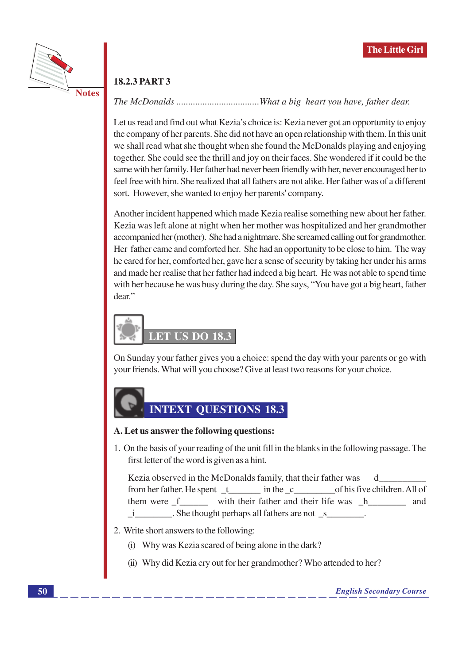

#### **18.2.3 PART 3**

#### 

Let us read and find out what Kezia's choice is: Kezia never got an opportunity to enjoy the company of her parents. She did not have an open relationship with them. In this unit we shall read what she thought when she found the McDonalds playing and enjoying together. She could see the thrill and joy on their faces. She wondered if it could be the same with her family. Her father had never been friendly with her, never encouraged her to feel free with him. She realized that all fathers are not alike. Her father was of a different sort. However, she wanted to enjoy her parents' company.

Another incident happened which made Kezia realise something new about her father. Kezia was left alone at night when her mother was hospitalized and her grandmother accompanied her (mother). She had a nightmare. She screamed calling out for grandmother. Her father came and comforted her. She had an opportunity to be close to him. The way he cared for her, comforted her, gave her a sense of security by taking her under his arms and made her realise that her father had indeed a big heart. He was not able to spend time with her because he was busy during the day. She says, "You have got a big heart, father dear."

# LET US DO 18.3

On Sunday your father gives you a choice: spend the day with your parents or go with your friends. What will you choose? Give at least two reasons for your choice.

### **INTEXT OUESTIONS 18.3**

#### A. Let us answer the following questions:

1. On the basis of your reading of the unit fill in the blanks in the following passage. The first letter of the word is given as a hint.

Kezia observed in the McDonalds family, that their father was d from her father. He spent t in the c of his five children. All of them were <u>f</u> \_\_\_\_\_\_ with their father and their life was \_h\_\_\_\_\_\_\_\_ and i \_\_\_\_\_\_\_\_. She thought perhaps all fathers are not \_s\_\_\_\_\_\_\_\_\_\_.

- 2. Write short answers to the following:
	- (i) Why was Kezia scared of being alone in the dark?
	- (ii) Why did Kezia cry out for her grandmother? Who attended to her?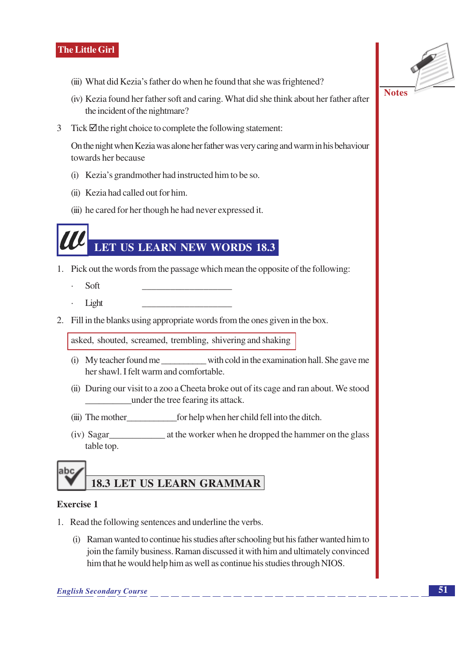- (iii) What did Kezia's father do when he found that she was frightened?
- (iv) Kezia found her father soft and caring. What did she think about her father after the incident of the nightmare?
- 3 Tick  $\boxtimes$  the right choice to complete the following statement:

On the night when Kezia was alone her father was very caring and warm in his behaviour towards her because

- (i) Kezia's grandmother had instructed him to be so.
- (ii) Kezia had called out for him.
- (iii) he cared for her though he had never expressed it.

### LET US LEARN NEW WORDS 18.3

- 1. Pick out the words from the passage which mean the opposite of the following:
	- Soft
	- Light
- 2. Fill in the blanks using appropriate words from the ones given in the box.

asked, shouted, screamed, trembling, shivering and shaking

- (i) My teacher found me with cold in the examination hall. She gave me her shawl. I felt warm and comfortable.
- (ii) During our visit to a zoo a Cheeta broke out of its cage and ran about. We stood under the tree fearing its attack.
- 
- $(iv)$  Sagar at the worker when he dropped the hammer on the glass table top.



#### **Exercise 1**

- 1. Read the following sentences and underline the verbs.
	- (i) Raman wanted to continue his studies after schooling but his father wanted him to join the family business. Raman discussed it with him and ultimately convinced him that he would help him as well as continue his studies through NIOS.

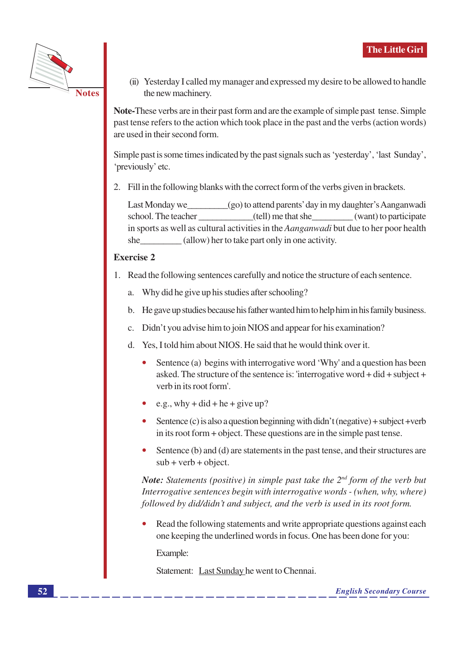

(ii) Yesterday I called my manager and expressed my desire to be allowed to handle the new machinery.

Note-These verbs are in their past form and are the example of simple past tense. Simple past tense refers to the action which took place in the past and the verbs (action words) are used in their second form.

Simple past is some times indicated by the past signals such as 'yesterday', 'last Sunday', 'previously' etc.

2. Fill in the following blanks with the correct form of the verbs given in brackets.

Last Monday we (go) to attend parents' day in my daughter's Aanganwadi (tell) me that she (want) to participate school. The teacher in sports as well as cultural activities in the *Aanganwadi* but due to her poor health (allow) her to take part only in one activity. she

#### **Exercise 2**

- 1. Read the following sentences carefully and notice the structure of each sentence.
	- a. Why did he give up his studies after schooling?
	- b. He gave up studies because his father wanted him to help him in his family business.
	- c. Didn't you advise him to join NIOS and appear for his examination?
	- d. Yes, I told him about NIOS. He said that he would think over it.
		- Sentence (a) begins with interrogative word 'Why' and a question has been asked. The structure of the sentence is: 'interrogative word + did + subject + verb in its root form'.
		- e.g., why + did + he + give up?
		- Sentence (c) is also a question beginning with didn't (negative) + subject +verb in its root form  $+$  object. These questions are in the simple past tense.
		- Sentence (b) and (d) are statements in the past tense, and their structures are  $\bullet$  $sub + verb + object.$

**Note:** Statements (positive) in simple past take the  $2^{nd}$  form of the verb but Interrogative sentences begin with interrogative words - (when, why, where) followed by did/didn't and subject, and the verb is used in its root form.

Read the following statements and write appropriate questions against each one keeping the underlined words in focus. One has been done for you:

Example:

Statement: Last Sunday he went to Chennai.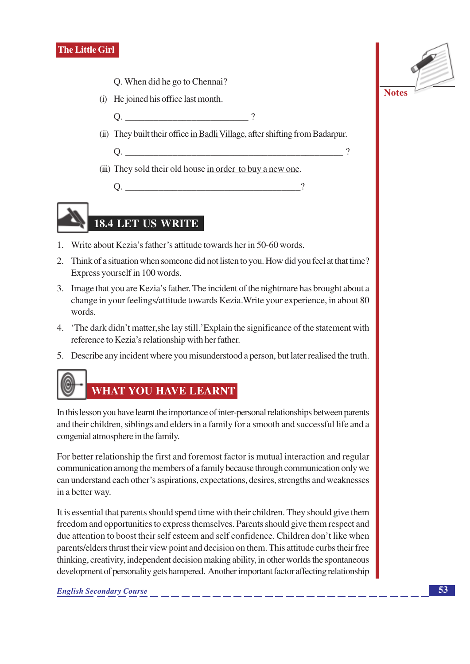- Q. When did he go to Chennai?
- (i) He joined his office last month.
	- $Q.$  $\gamma$
- (ii) They built their office in Badli Village, after shifting from Badarpur.
	-
- (iii) They sold their old house in order to buy a new one.

# 18.4 LET US WRITE

- 1. Write about Kezia's father's attitude towards her in 50-60 words.
- 2. Think of a situation when someone did not listen to you. How did you feel at that time? Express yourself in 100 words.
- 3. Image that you are Kezia's father. The incident of the nightmare has brought about a change in your feelings/attitude towards Kezia. Write your experience, in about 80 words.
- 4. The dark didn't matter, she lay still. 'Explain the significance of the statement with reference to Kezia's relationship with her father.
- 5. Describe any incident where you misunderstood a person, but later realised the truth.



In this lesson you have learnt the importance of inter-personal relationships between parents and their children, siblings and elders in a family for a smooth and successful life and a congenial atmosphere in the family.

For better relationship the first and foremost factor is mutual interaction and regular communication among the members of a family because through communication only we can understand each other's aspirations, expectations, desires, strengths and weaknesses in a better way.

It is essential that parents should spend time with their children. They should give them freedom and opportunities to express themselves. Parents should give them respect and due attention to boost their self esteem and self confidence. Children don't like when parents/elders thrust their view point and decision on them. This attitude curbs their free thinking, creativity, independent decision making ability, in other worlds the spontaneous development of personality gets hampered. Another important factor affecting relationship

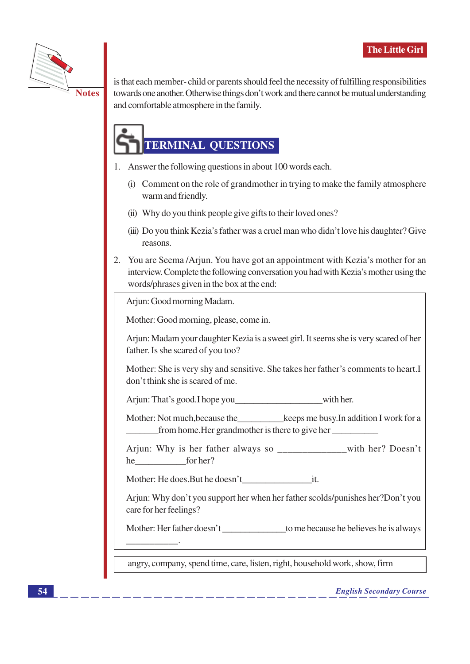

is that each member-child or parents should feel the necessity of fulfilling responsibilities towards one another. Otherwise things don't work and there cannot be mutual understanding and comfortable atmosphere in the family.

## **TERMINAL QUESTIONS**

- 1. Answer the following questions in about 100 words each.
	- (i) Comment on the role of grandmother in trying to make the family atmosphere warm and friendly.
	- (ii) Why do you think people give gifts to their loved ones?
	- (iii) Do you think Kezia's father was a cruel man who didn't love his daughter? Give reasons.
- 2. You are Seema /Arjun. You have got an appointment with Kezia's mother for an interview. Complete the following conversation you had with Kezia's mother using the words/phrases given in the box at the end:

Arjun: Good morning Madam.

Mother: Good morning, please, come in.

Arjun: Madam your daughter Kezia is a sweet girl. It seems she is very scared of her father. Is she scared of you too?

Mother: She is very shy and sensitive. She takes her father's comments to heart.I don't think she is scared of me.

Mother: Not much, because the keeps me busy. In addition I work for a from home. Her grandmother is there to give her

Arjun: Why is her father always so \_\_\_\_\_\_\_\_\_\_\_with her? Doesn't he for her?

Mother: He does. But he doesn't it.

Arjun: Why don't you support her when her father scolds/punishes her?Don't you care for her feelings?

angry, company, spend time, care, listen, right, household work, show, firm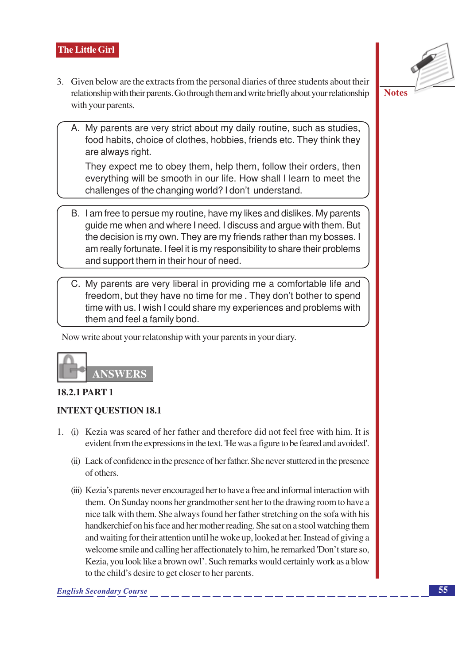- 3. Given below are the extracts from the personal diaries of three students about their relationship with their parents. Go through them and write briefly about your relationship with your parents.
	- A. My parents are very strict about my daily routine, such as studies, food habits, choice of clothes, hobbies, friends etc. They think they are always right.

They expect me to obey them, help them, follow their orders, then everything will be smooth in our life. How shall I learn to meet the challenges of the changing world? I don't understand.

- B. I am free to persue my routine, have my likes and dislikes. My parents quide me when and where I need. I discuss and arque with them. But the decision is my own. They are my friends rather than my bosses. I am really fortunate. I feel it is my responsibility to share their problems and support them in their hour of need.
- C. My parents are very liberal in providing me a comfortable life and freedom, but they have no time for me. They don't bother to spend time with us. I wish I could share my experiences and problems with them and feel a family bond.

Now write about your relatonship with your parents in your diary.



#### **18.2.1 PART 1**

#### **INTEXT OUESTION 18.1**

- 1. (i) Kezia was scared of her father and therefore did not feel free with him. It is evident from the expressions in the text. 'He was a figure to be feared and avoided'.
	- (ii) Lack of confidence in the presence of her father. She never stuttered in the presence of others.
	- (iii) Kezia's parents never encouraged her to have a free and informal interaction with them. On Sunday noons her grandmother sent her to the drawing room to have a nice talk with them. She always found her father stretching on the sofa with his handkerchief on his face and her mother reading. She sat on a stool watching them and waiting for their attention until he woke up, looked at her. Instead of giving a welcome smile and calling her affectionately to him, he remarked 'Don't stare so, Kezia, you look like a brown owl'. Such remarks would certainly work as a blow to the child's desire to get closer to her parents.



**Notes**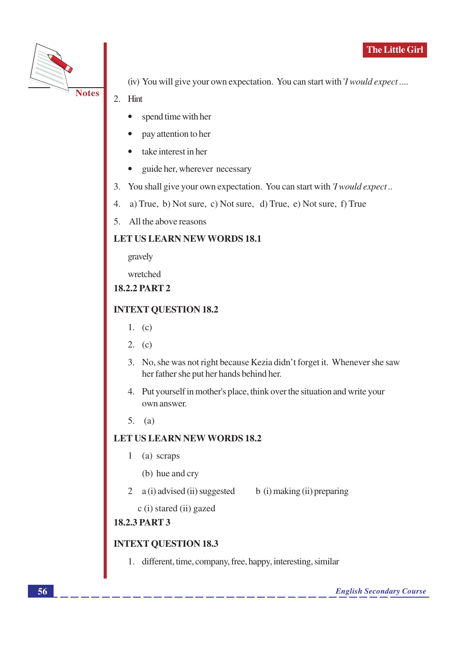

(iv) You will give your own expectation. You can start with 'I would expect....

- 2. Hint
	- spend time with her
	- pay attention to her
	- take interest in her
	- $\bullet$ guide her, wherever necessary
- 3. You shall give your own expectation. You can start with *'I would expect*..
- a) True, b) Not sure, c) Not sure, d) True, e) Not sure, f) True  $4.$
- 5. All the above reasons

#### **LET US LEARN NEW WORDS 18.1**

gravely

wretched

**18.2.2 PART 2** 

#### **INTEXT QUESTION 18.2**

- 1.  $(c)$
- 2.  $(c)$
- 3. No, she was not right because Kezia didn't forget it. Whenever she saw her father she put her hands behind her.
- 4. Put yourself in mother's place, think over the situation and write your own answer
- $5.$  (a)

#### **LET US LEARN NEW WORDS 18.2**

- $\mathbf{1}$ (a) scraps
	- (b) hue and cry
- 2  $a(i)$  advised (ii) suggested b (i) making (ii) preparing

c (i) stared (ii) gazed

#### **18.2.3 PART 3**

#### **INTEXT QUESTION 18.3**

1. different, time, company, free, happy, interesting, similar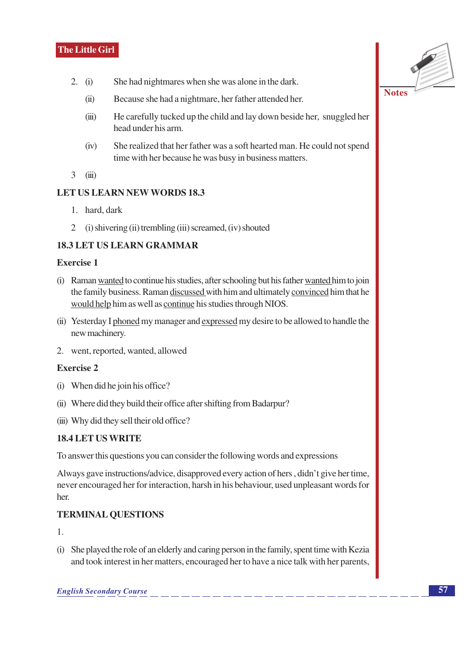- $2. (i)$ She had nightmares when she was alone in the dark.
	- $(ii)$ Because she had a nightmare, her father attended her.
	- He carefully tucked up the child and lay down beside her, snuggled her  $(iii)$ head under his arm.
	- She realized that her father was a soft hearted man. He could not spend  $(iv)$ time with her because he was busy in business matters.
- $3<sup>1</sup>$  $(iii)$

#### **LET US LEARN NEW WORDS 18.3**

- 1. hard. dark
- $\overline{2}$ (i) shivering (ii) trembling (iii) screamed, (iv) shouted

#### **18.3 LET US LEARN GRAMMAR**

#### **Exercise 1**

- (i) Raman wanted to continue his studies, after schooling but his father wanted him to join the family business. Raman discussed with him and ultimately convinced him that he would help him as well as continue his studies through NIOS.
- (ii) Yesterday I phoned my manager and expressed my desire to be allowed to handle the new machinery.
- 2. went, reported, wanted, allowed

#### **Exercise 2**

- (i) When did he join his office?
- (ii) Where did they build their office after shifting from Badarpur?
- (iii) Why did they sell their old office?

#### **18.4 LET US WRITE**

To answer this questions you can consider the following words and expressions

Always gave instructions/advice, disapproved every action of hers, didn't give her time, never encouraged her for interaction, harsh in his behaviour, used unpleasant words for her.

#### **TERMINAL QUESTIONS**

 $\mathbf{1}$ 

(i) She played the role of an elderly and caring person in the family, spent time with Kezia and took interest in her matters, encouraged her to have a nice talk with her parents,